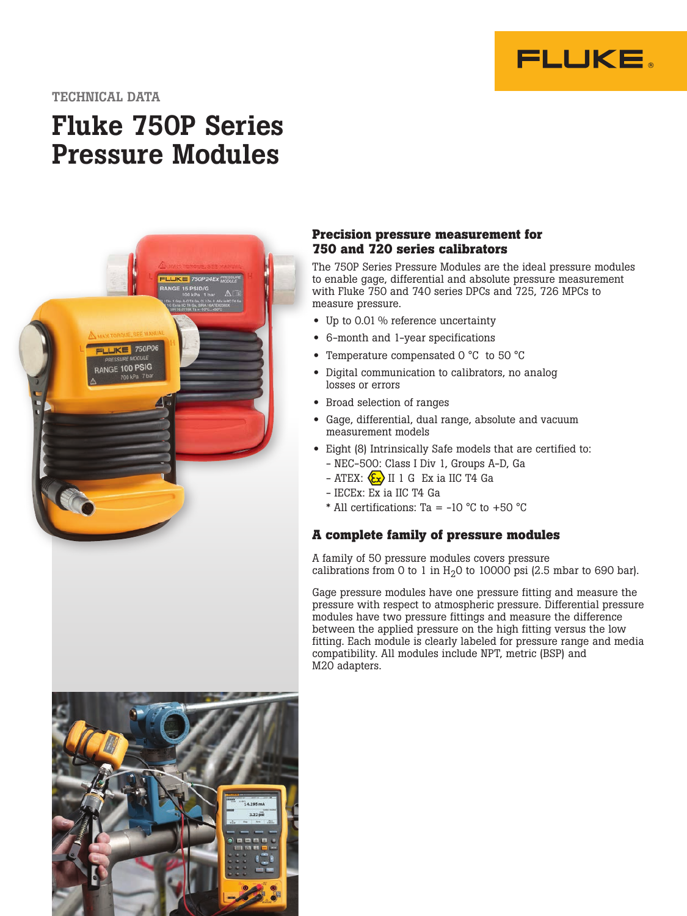

## TECHNICAL DATA

# Fluke 750P Series Pressure Modules



#### **Precision pressure measurement for 750 and 720 series calibrators**

The 750P Series Pressure Modules are the ideal pressure modules to enable gage, differential and absolute pressure measurement with Fluke 750 and 740 series DPCs and 725, 726 MPCs to measure pressure.

- Up to 0.01 % reference uncertainty
- 6-month and 1-year specifications
- Temperature compensated 0 °C to 50 °C
- Digital communication to calibrators, no analog losses or errors
- Broad selection of ranges
- Gage, differential, dual range, absolute and vacuum measurement models
- Eight (8) Intrinsically Safe models that are certified to:
	- NEC-500: Class I Div 1, Groups A-D, Ga
	- $-$  ATEX:  $\langle \overline{\xi_x} \rangle$  II 1 G Ex ia IIC T4 Ga
	- IECEx: Ex ia IIC T4 Ga
	- \* All certifications: Ta = -10 °C to +50 °C

#### **A complete family of pressure modules**

A family of 50 pressure modules covers pressure calibrations from 0 to 1 in  $H<sub>2</sub>0$  to 10000 psi (2.5 mbar to 690 bar).

Gage pressure modules have one pressure fitting and measure the pressure with respect to atmospheric pressure. Differential pressure modules have two pressure fittings and measure the difference between the applied pressure on the high fitting versus the low fitting. Each module is clearly labeled for pressure range and media compatibility. All modules include NPT, metric (BSP) and M20 adapters.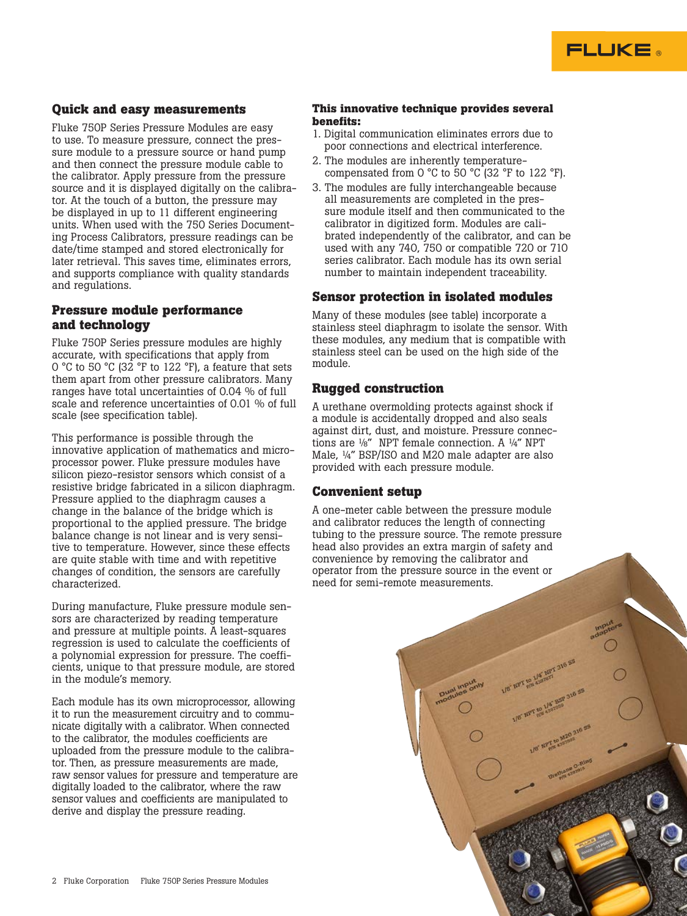

### **Quick and easy measurements**

Fluke 750P Series Pressure Modules are easy to use. To measure pressure, connect the pressure module to a pressure source or hand pump and then connect the pressure module cable to the calibrator. Apply pressure from the pressure source and it is displayed digitally on the calibrator. At the touch of a button, the pressure may be displayed in up to 11 different engineering units. When used with the 750 Series Documenting Process Calibrators, pressure readings can be date/time stamped and stored electronically for later retrieval. This saves time, eliminates errors, and supports compliance with quality standards and regulations.

# **Pressure module performance and technology**

Fluke 750P Series pressure modules are highly accurate, with specifications that apply from 0 °C to 50 °C (32 °F to 122 °F), a feature that sets them apart from other pressure calibrators. Many ranges have total uncertainties of 0.04 % of full scale and reference uncertainties of 0.01 % of full scale (see specification table).

This performance is possible through the innovative application of mathematics and microprocessor power. Fluke pressure modules have silicon piezo-resistor sensors which consist of a resistive bridge fabricated in a silicon diaphragm. Pressure applied to the diaphragm causes a change in the balance of the bridge which is proportional to the applied pressure. The bridge balance change is not linear and is very sensitive to temperature. However, since these effects are quite stable with time and with repetitive changes of condition, the sensors are carefully characterized.

During manufacture, Fluke pressure module sensors are characterized by reading temperature and pressure at multiple points. A least-squares regression is used to calculate the coefficients of a polynomial expression for pressure. The coefficients, unique to that pressure module, are stored in the module's memory.

Each module has its own microprocessor, allowing it to run the measurement circuitry and to communicate digitally with a calibrator. When connected to the calibrator, the modules coefficients are uploaded from the pressure module to the calibrator. Then, as pressure measurements are made, raw sensor values for pressure and temperature are digitally loaded to the calibrator, where the raw sensor values and coefficients are manipulated to derive and display the pressure reading.

#### **This innovative technique provides several benefits:**

- 1. Digital communication eliminates errors due to poor connections and electrical interference.
- 2. The modules are inherently temperaturecompensated from 0  $\degree$ C to 50  $\degree$ C (32  $\degree$ F to 122  $\degree$ F).
- 3. The modules are fully interchangeable because all measurements are completed in the pressure module itself and then communicated to the calibrator in digitized form. Modules are calibrated independently of the calibrator, and can be used with any 740, 750 or compatible 720 or 710 series calibrator. Each module has its own serial number to maintain independent traceability.

#### **Sensor protection in isolated modules**

Many of these modules (see table) incorporate a stainless steel diaphragm to isolate the sensor. With these modules, any medium that is compatible with stainless steel can be used on the high side of the module.

#### **Rugged construction**

A urethane overmolding protects against shock if a module is accidentally dropped and also seals against dirt, dust, and moisture. Pressure connections are ⅛" NPT female connection. A ¼" NPT Male, ¼" BSP/ISO and M20 male adapter are also provided with each pressure module.

#### **Convenient setup**

A one-meter cable between the pressure module and calibrator reduces the length of connecting tubing to the pressure source. The remote pressure head also provides an extra margin of safety and convenience by removing the calibrator and operator from the pressure source in the event or need for semi-remote measurements.

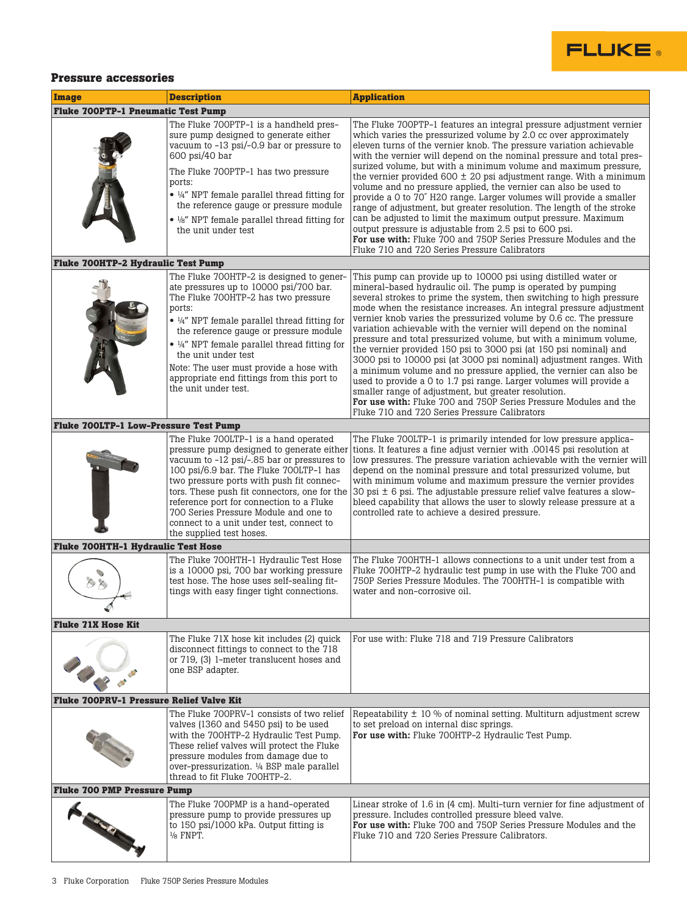

### **Pressure accessories**

| <b>Image</b>                                 | <b>Description</b>                                                                                                                                                                                                                                                                                                                                                                                                                    | <b>Application</b>                                                                                                                                                                                                                                                                                                                                                                                                                                                                                                                                                                                                                                                                                                                                                                                                                                                                                     |  |  |  |  |
|----------------------------------------------|---------------------------------------------------------------------------------------------------------------------------------------------------------------------------------------------------------------------------------------------------------------------------------------------------------------------------------------------------------------------------------------------------------------------------------------|--------------------------------------------------------------------------------------------------------------------------------------------------------------------------------------------------------------------------------------------------------------------------------------------------------------------------------------------------------------------------------------------------------------------------------------------------------------------------------------------------------------------------------------------------------------------------------------------------------------------------------------------------------------------------------------------------------------------------------------------------------------------------------------------------------------------------------------------------------------------------------------------------------|--|--|--|--|
| <b>Fluke 700PTP-1 Pneumatic Test Pump</b>    |                                                                                                                                                                                                                                                                                                                                                                                                                                       |                                                                                                                                                                                                                                                                                                                                                                                                                                                                                                                                                                                                                                                                                                                                                                                                                                                                                                        |  |  |  |  |
|                                              | The Fluke 700PTP-1 is a handheld pres-<br>sure pump designed to generate either<br>vacuum to -13 psi/-0.9 bar or pressure to<br>600 psi/40 bar<br>The Fluke 700PTP-1 has two pressure<br>ports:<br>• 1/4" NPT female parallel thread fitting for<br>the reference gauge or pressure module<br>• 1/8" NPT female parallel thread fitting for<br>the unit under test                                                                    | The Fluke 700PTP-1 features an integral pressure adjustment vernier<br>which varies the pressurized volume by 2.0 cc over approximately<br>eleven turns of the vernier knob. The pressure variation achievable<br>with the vernier will depend on the nominal pressure and total pres-<br>surized volume, but with a minimum volume and maximum pressure,<br>the vernier provided $600 \pm 20$ psi adjustment range. With a minimum<br>volume and no pressure applied, the vernier can also be used to<br>provide a 0 to 70" H2O range. Larger volumes will provide a smaller<br>range of adjustment, but greater resolution. The length of the stroke<br>can be adjusted to limit the maximum output pressure. Maximum<br>output pressure is adjustable from 2.5 psi to 600 psi.<br>For use with: Fluke 700 and 750P Series Pressure Modules and the<br>Fluke 710 and 720 Series Pressure Calibrators |  |  |  |  |
| <b>Fluke 700HTP-2 Hydraulic Test Pump</b>    |                                                                                                                                                                                                                                                                                                                                                                                                                                       |                                                                                                                                                                                                                                                                                                                                                                                                                                                                                                                                                                                                                                                                                                                                                                                                                                                                                                        |  |  |  |  |
|                                              | The Fluke 700HTP-2 is designed to gener-<br>ate pressures up to 10000 psi/700 bar.<br>The Fluke 700HTP-2 has two pressure<br>ports:<br>$\bullet$ ¼" NPT female parallel thread fitting for<br>the reference gauge or pressure module<br>$\bullet$ 1/4" NPT female parallel thread fitting for<br>the unit under test<br>Note: The user must provide a hose with<br>appropriate end fittings from this port to<br>the unit under test. | This pump can provide up to 10000 psi using distilled water or<br>mineral-based hydraulic oil. The pump is operated by pumping<br>several strokes to prime the system, then switching to high pressure<br>mode when the resistance increases. An integral pressure adjustment<br>vernier knob varies the pressurized volume by 0.6 cc. The pressure<br>variation achievable with the vernier will depend on the nominal<br>pressure and total pressurized volume, but with a minimum volume,<br>the vernier provided 150 psi to 3000 psi (at 150 psi nominal) and<br>3000 psi to 10000 psi (at 3000 psi nominal) adjustment ranges. With<br>a minimum volume and no pressure applied, the vernier can also be<br>used to provide a 0 to 1.7 psi range. Larger volumes will provide a<br>smaller range of adjustment, but greater resolution.                                                           |  |  |  |  |
|                                              |                                                                                                                                                                                                                                                                                                                                                                                                                                       | For use with: Fluke 700 and 750P Series Pressure Modules and the<br>Fluke 710 and 720 Series Pressure Calibrators                                                                                                                                                                                                                                                                                                                                                                                                                                                                                                                                                                                                                                                                                                                                                                                      |  |  |  |  |
| <b>Fluke 700LTP-1 Low-Pressure Test Pump</b> |                                                                                                                                                                                                                                                                                                                                                                                                                                       |                                                                                                                                                                                                                                                                                                                                                                                                                                                                                                                                                                                                                                                                                                                                                                                                                                                                                                        |  |  |  |  |
|                                              | The Fluke 700LTP-1 is a hand operated<br>pressure pump designed to generate either<br>vacuum to -12 psi/-.85 bar or pressures to<br>100 psi/6.9 bar. The Fluke 700LTP-1 has<br>two pressure ports with push fit connec-<br>tors. These push fit connectors, one for the<br>reference port for connection to a Fluke<br>700 Series Pressure Module and one to<br>connect to a unit under test, connect to<br>the supplied test hoses.  | The Fluke 700LTP-1 is primarily intended for low pressure applica-<br>tions. It features a fine adjust vernier with .00145 psi resolution at<br>low pressures. The pressure variation achievable with the vernier will<br>depend on the nominal pressure and total pressurized volume, but<br>with minimum volume and maximum pressure the vernier provides<br>30 psi $\pm$ 6 psi. The adjustable pressure relief valve features a slow-<br>bleed capability that allows the user to slowly release pressure at a<br>controlled rate to achieve a desired pressure.                                                                                                                                                                                                                                                                                                                                    |  |  |  |  |
| <b>Fluke 700HTH-1 Hydraulic Test Hose</b>    |                                                                                                                                                                                                                                                                                                                                                                                                                                       |                                                                                                                                                                                                                                                                                                                                                                                                                                                                                                                                                                                                                                                                                                                                                                                                                                                                                                        |  |  |  |  |
|                                              | The Fluke 700HTH-1 Hydraulic Test Hose<br>is a 10000 psi, 700 bar working pressure<br>test hose. The hose uses self-sealing fit-<br>tings with easy finger tight connections.                                                                                                                                                                                                                                                         | The Fluke 700HTH-1 allows connections to a unit under test from a<br>Fluke 700HTP-2 hydraulic test pump in use with the Fluke 700 and<br>750P Series Pressure Modules. The 700HTH-1 is compatible with<br>water and non-corrosive oil.                                                                                                                                                                                                                                                                                                                                                                                                                                                                                                                                                                                                                                                                 |  |  |  |  |
| <b>Fluke 71X Hose Kit</b>                    |                                                                                                                                                                                                                                                                                                                                                                                                                                       |                                                                                                                                                                                                                                                                                                                                                                                                                                                                                                                                                                                                                                                                                                                                                                                                                                                                                                        |  |  |  |  |
|                                              | The Fluke 71X hose kit includes (2) quick<br>disconnect fittings to connect to the 718<br>or 719, (3) 1-meter translucent hoses and<br>one BSP adapter.                                                                                                                                                                                                                                                                               | For use with: Fluke 718 and 719 Pressure Calibrators                                                                                                                                                                                                                                                                                                                                                                                                                                                                                                                                                                                                                                                                                                                                                                                                                                                   |  |  |  |  |
| Fluke 700PRV-1 Pressure Relief Valve Kit     |                                                                                                                                                                                                                                                                                                                                                                                                                                       |                                                                                                                                                                                                                                                                                                                                                                                                                                                                                                                                                                                                                                                                                                                                                                                                                                                                                                        |  |  |  |  |
|                                              | The Fluke 700PRV-1 consists of two relief<br>valves (1360 and 5450 psi) to be used<br>with the 700HTP-2 Hydraulic Test Pump.<br>These relief valves will protect the Fluke<br>pressure modules from damage due to<br>over-pressurization. 1/4 BSP male parallel<br>thread to fit Fluke 700HTP-2.                                                                                                                                      | Repeatability $\pm$ 10 % of nominal setting. Multiturn adjustment screw<br>to set preload on internal disc springs.<br>For use with: Fluke 700HTP-2 Hydraulic Test Pump.                                                                                                                                                                                                                                                                                                                                                                                                                                                                                                                                                                                                                                                                                                                               |  |  |  |  |
| <b>Fluke 700 PMP Pressure Pump</b>           |                                                                                                                                                                                                                                                                                                                                                                                                                                       |                                                                                                                                                                                                                                                                                                                                                                                                                                                                                                                                                                                                                                                                                                                                                                                                                                                                                                        |  |  |  |  |
| <b>Change</b>                                | The Fluke 700PMP is a hand-operated<br>pressure pump to provide pressures up<br>to 150 psi/1000 kPa. Output fitting is<br>$\frac{1}{8}$ FNPT.                                                                                                                                                                                                                                                                                         | Linear stroke of 1.6 in (4 cm). Multi-turn vernier for fine adjustment of<br>pressure. Includes controlled pressure bleed valve.<br>For use with: Fluke 700 and 750P Series Pressure Modules and the<br>Fluke 710 and 720 Series Pressure Calibrators.                                                                                                                                                                                                                                                                                                                                                                                                                                                                                                                                                                                                                                                 |  |  |  |  |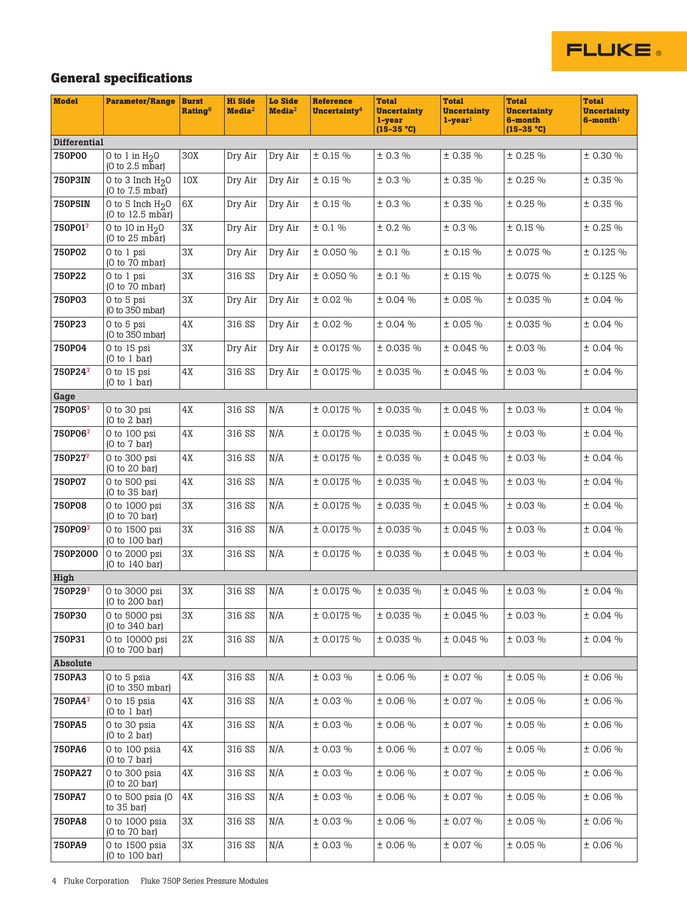

# **General specifications**

| <b>Model</b>        | <b>Parameter/Range</b>                   | <b>Burst</b><br><b>Rating6</b> | <b>Hi Side</b><br>Media <sup>2</sup> | <b>Lo Side</b><br>Media <sup>2</sup> | <b>Reference</b><br>Uncertainty <sup>4</sup> | <b>Total</b><br><b>Uncertainty</b><br>1-year<br>$(15-35 °C)$ | <b>Total</b><br><b>Uncertainty</b><br>$1 - year1$ | <b>Total</b><br><b>Uncertainty</b><br>6-month<br>$(15-35 °C)$ | <b>Total</b><br><b>Uncertainty</b><br>$6$ -month <sup>1</sup> |
|---------------------|------------------------------------------|--------------------------------|--------------------------------------|--------------------------------------|----------------------------------------------|--------------------------------------------------------------|---------------------------------------------------|---------------------------------------------------------------|---------------------------------------------------------------|
| <b>Differential</b> |                                          |                                |                                      |                                      |                                              |                                                              |                                                   |                                                               |                                                               |
| <b>750P00</b>       | 0 to 1 in $H20$<br>$(0 to 2.5 m\bar{b})$ | 30X                            | Dry Air                              | Dry Air                              | ± 0.15%                                      | ± 0.3 %                                                      | ± 0.35 %                                          | ± 0.25 %                                                      | ± 0.30 %                                                      |
| <b>750P3IN</b>      | 0 to 3 Inch $H20$<br>(0 to 7.5 mbar)     | 10X                            | Dry Air                              | Dry Air                              | ± 0.15 %                                     | ± 0.3 %                                                      | ± 0.35 %                                          | ± 0.25 %                                                      | ± 0.35 %                                                      |
| <b>750P5IN</b>      | 0 to 5 Inch $H20$<br>(0 to 12.5 mbar)    | 6X                             | Dry Air                              | Dry Air                              | ± 0.15 %                                     | ± 0.3 %                                                      | ± 0.35 %                                          | ± 0.25%                                                       | ± 0.35 %                                                      |
| 750P01 <sup>7</sup> | 0 to 10 in $H_2$ 0<br>(0 to 25 mbar)     | ЗX                             | Dry Air                              | Dry Air                              | ± 0.1 %                                      | ± 0.2 %                                                      | ± 0.3 %                                           | ± 0.15%                                                       | ± 0.25 %                                                      |
| <b>750P02</b>       | 0 to 1 psi<br>(0 to 70 mbar)             | 3X                             | Dry Air                              | Dry Air                              | ± 0.050 %                                    | ± 0.1 %                                                      | ± 0.15%                                           | ± 0.075 %                                                     | ± 0.125%                                                      |
| <b>750P22</b>       | O to 1 psi<br>(0 to 70 mbar)             | 3X                             | 316 SS                               | Dry Air                              | ± 0.050 %                                    | ± 0.1 %                                                      | ± 0.15%                                           | ± 0.075 %                                                     | ± 0.125 %                                                     |
| <b>750P03</b>       | 0 to 5 psi<br>(0 to 350 mbar)            | ЗX                             | Dry Air                              | Dry Air                              | ± 0.02 %                                     | ± 0.04 %                                                     | ± 0.05 %                                          | ± 0.035 %                                                     | ± 0.04 %                                                      |
| <b>750P23</b>       | 0 to 5 psi<br>(0 to 350 mbar)            | 4Х                             | 316 SS                               | Dry Air                              | ± 0.02 %                                     | ± 0.04 %                                                     | ± 0.05 %                                          | ± 0.035 %                                                     | ± 0.04 %                                                      |
| <b>750P04</b>       | 0 to 15 psi<br>(0 to 1 bar)              | ЗX                             | Dry Air                              | Dry Air                              | ± 0.0175%                                    | ± 0.035 %                                                    | ± 0.045 %                                         | ± 0.03 %                                                      | ± 0.04 %                                                      |
| 750P24 <sup>7</sup> | 0 to 15 psi<br>(0 to 1 bar)              | 4Х                             | 316 SS                               | Dry Air                              | ± 0.0175%                                    | ± 0.035 %                                                    | ± 0.045 %                                         | ± 0.03 %                                                      | ± 0.04 %                                                      |
| Gage                |                                          |                                |                                      |                                      |                                              |                                                              |                                                   |                                                               |                                                               |
| 750P057             | 0 to 30 psi<br>(0 to 2 bar)              | 4X                             | 316 SS                               | N/A                                  | ± 0.0175%                                    | ± 0.035 %                                                    | ± 0.045 %                                         | ± 0.03 %                                                      | ± 0.04 %                                                      |
| 750P067             | 0 to 100 psi<br>(0 to 7 bar)             | 4X                             | 316 SS                               | N/A                                  | ± 0.0175%                                    | ± 0.035 %                                                    | ± 0.045 %                                         | ± 0.03 %                                                      | ± 0.04 %                                                      |
| 750P27 <sup>7</sup> | 0 to 300 psi<br>(0 to 20 bar)            | 4X                             | 316 SS                               | N/A                                  | ± 0.0175 %                                   | ± 0.035 %                                                    | ± 0.045 %                                         | ± 0.03 %                                                      | ± 0.04 %                                                      |
| <b>750P07</b>       | 0 to 500 psi<br>(0 to 35 bar)            | 4Х                             | 316 SS                               | N/A                                  | ± 0.0175 %                                   | ± 0.035 %                                                    | ± 0.045 %                                         | ± 0.03 %                                                      | ± 0.04 %                                                      |
| <b>750P08</b>       | 0 to 1000 psi<br>(0 to 70 bar)           | ЗX                             | 316 SS                               | N/A                                  | ± 0.0175%                                    | ± 0.035 %                                                    | ± 0.045 %                                         | ± 0.03 %                                                      | ± 0.04 %                                                      |
| 750P09 <sup>7</sup> | 0 to 1500 psi<br>(0 to 100 bar)          | ЗX                             | 316 SS                               | N/A                                  | ± 0.0175%                                    | ± 0.035 %                                                    | ± 0.045%                                          | ± 0.03 %                                                      | ± 0.04 %                                                      |
| 750P2000            | 0 to 2000 psi<br>(0 to 140 bar)          | ЗX                             | 316 SS                               | N/A                                  | ± 0.0175%                                    | ± 0.035 %                                                    | ± 0.045 %                                         | ± 0.03 %                                                      | ± 0.04 %                                                      |
| High                |                                          |                                |                                      |                                      |                                              |                                                              |                                                   |                                                               |                                                               |
| 750P29 <sup>7</sup> | 0 to 3000 psi<br>(0 to 200 bar)          | ЗΧ                             | 316 SS                               | N/A                                  | ± 0.0175 %                                   | ± 0.035 %                                                    | ± 0.045 %                                         | ± 0.03 %                                                      | ± 0.04 %                                                      |
| <b>750P30</b>       | 0 to 5000 psi<br>(0 to 340 bar)          | 3X                             | 316 SS                               | N/A                                  | ± 0.0175 %                                   | ± 0.035 %                                                    | ± 0.045 %                                         | ± 0.03 %                                                      | ± 0.04 %                                                      |
| 750P31              | 0 to 10000 psi<br>(0 to 700 bar)         | 2X                             | 316 SS                               | N/A                                  | ± 0.0175 %                                   | ± 0.035 %                                                    | ± 0.045 %                                         | ± 0.03 %                                                      | ± 0.04 %                                                      |
| Absolute            |                                          |                                |                                      |                                      |                                              |                                                              |                                                   |                                                               |                                                               |
| <b>750PA3</b>       | 0 to 5 psia<br>(0 to 350 mbar)           | 4X                             | 316 SS                               | N/A                                  | ± 0.03 %                                     | ± 0.06 %                                                     | ± 0.07 %                                          | ± 0.05 %                                                      | ± 0.06 %                                                      |
| 750PA4 <sup>7</sup> | 0 to 15 psia<br>(0 to 1 bar)             | 4X                             | 316 SS                               | N/A                                  | ± 0.03 %                                     | $\pm$ 0.06 %                                                 | ± 0.07 %                                          | ± 0.05 %                                                      | ± 0.06 %                                                      |
| <b>750PA5</b>       | 0 to 30 psia<br>(0 to 2 bar)             | 4X                             | 316 SS                               | N/A                                  | ± 0.03 %                                     | $\pm$ 0.06 %                                                 | ± 0.07 %                                          | ± 0.05 %                                                      | ± 0.06 %                                                      |
| <b>750PA6</b>       | 0 to 100 psia<br>(0 to 7 bar)            | 4Х                             | 316 SS                               | N/A                                  | ± 0.03 %                                     | ± 0.06 %                                                     | ± 0.07 %                                          | ± 0.05 %                                                      | ± 0.06 %                                                      |
| <b>750PA27</b>      | 0 to 300 psia<br>(0 to 20 bar)           | 4X                             | 316 SS                               | N/A                                  | ± 0.03 %                                     | ± 0.06 %                                                     | ± 0.07 %                                          | ± 0.05 %                                                      | ± 0.06 %                                                      |
| <b>750PA7</b>       | 0 to 500 psia (0)<br>to $35$ bar)        | 4X                             | 316 SS                               | N/A                                  | ± 0.03 %                                     | ± 0.06 %                                                     | ± 0.07 %                                          | ± 0.05 %                                                      | ± 0.06 %                                                      |
| <b>750PA8</b>       | 0 to 1000 psia<br>(0 to 70 bar)          | 3X                             | 316 SS                               | N/A                                  | ± 0.03 %                                     | ± 0.06 %                                                     | ± 0.07 %                                          | ± 0.05 %                                                      | ± 0.06 %                                                      |
| <b>750PA9</b>       | 0 to 1500 psia<br>(0 to 100 bar)         | 3X                             | 316 SS                               | N/A                                  | ± 0.03 %                                     | ± 0.06 %                                                     | ± 0.07 %                                          | ± 0.05 %                                                      | ± 0.06 %                                                      |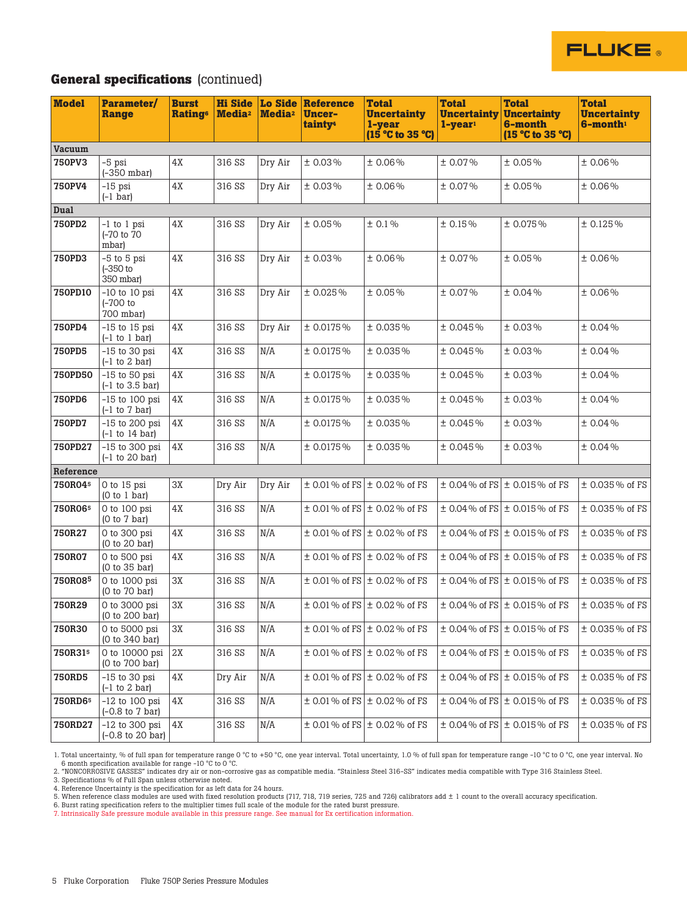

## **General specifications** (continued)

| <b>Model</b>   | Parameter/<br><b>Range</b>                              | <b>Burst</b><br><b>Rating®</b> | <b>Hi Side</b><br>Media <sup>2</sup> | <b>Lo Side</b><br><b>Media</b> <sup>2</sup> | <b>Reference</b><br><b>Uncer-</b><br>tainty <sup>4</sup> | <b>Total</b><br><b>Uncertainty</b><br>1-year<br>$(15^{\circ}$ C to 35 $^{\circ}$ C) | <b>Total</b><br><b>Uncertainty</b><br>$1$ -year <sup>1</sup> | <b>Total</b><br><b>Uncertainty</b><br>6-month<br>(15 °C to 35 °C) | <b>Total</b><br><b>Uncertainty</b><br>6-month1 |
|----------------|---------------------------------------------------------|--------------------------------|--------------------------------------|---------------------------------------------|----------------------------------------------------------|-------------------------------------------------------------------------------------|--------------------------------------------------------------|-------------------------------------------------------------------|------------------------------------------------|
| <b>Vacuum</b>  |                                                         |                                |                                      |                                             |                                                          |                                                                                     |                                                              |                                                                   |                                                |
| <b>750PV3</b>  | -5 psi<br>$(-350 \text{ mbar})$                         | 4X                             | 316 SS                               | Dry Air                                     | ±0.03%                                                   | ±0.06%                                                                              | $± 0.07\%$                                                   | ±0.05%                                                            | ±0.06%                                         |
| <b>750PV4</b>  | $-15$ psi<br>$(-1 bar)$                                 | 4X                             | 316 SS                               | Dry Air                                     | $± 0.03\%$                                               | ±0.06%                                                                              | ± 0.07%                                                      | ±0.05%                                                            | ±0.06%                                         |
| Dual           |                                                         |                                |                                      |                                             |                                                          |                                                                                     |                                                              |                                                                   |                                                |
| <b>750PD2</b>  | -1 to 1 psi<br>(-70 to 70<br>mbar)                      | 4X                             | 316 SS                               | Dry Air                                     | ±0.05%                                                   | ± 0.1%                                                                              | ± 0.15%                                                      | ±0.075%                                                           | ± 0.125%                                       |
| <b>750PD3</b>  | -5 to 5 psi<br>$-350$ to<br>350 mbar)                   | 4X                             | 316 SS                               | Dry Air                                     | ±0.03%                                                   | ±0.06%                                                                              | ± 0.07%                                                      | ±0.05%                                                            | ±0.06%                                         |
| 750PD10        | $-10$ to $10$ psi<br>$(-700)$ to<br>700 mbar)           | 4X                             | 316 SS                               | Dry Air                                     | ±0.025%                                                  | ±0.05%                                                                              | ± 0.07%                                                      | ±0.04%                                                            | ±0.06%                                         |
| <b>750PD4</b>  | $-15$ to 15 psi<br>$(-1 to 1 bar)$                      | 4X                             | 316 SS                               | Dry Air                                     | ± 0.0175%                                                | ±0.035%                                                                             | ±0.045%                                                      | ± 0.03%                                                           | ±0.04%                                         |
| <b>750PD5</b>  | $-15$ to 30 psi<br>$(-1)$ to 2 bar)                     | 4X                             | 316 SS                               | N/A                                         | ± 0.0175%                                                | ±0.035%                                                                             | ±0.045%                                                      | ± 0.03%                                                           | ±0.04%                                         |
| 750PD50        | $-15$ to 50 psi<br>$(-1)$ to 3.5 bar)                   | 4X                             | 316 SS                               | N/A                                         | ± 0.0175%                                                | $± 0.035\%$                                                                         | ± 0.045%                                                     | ± 0.03%                                                           | ±0.04%                                         |
| <b>750PD6</b>  | $-15$ to 100 psi<br>$(-1)$ to $7$ bar)                  | 4X                             | 316 SS                               | N/A                                         | ± 0.0175%                                                | ±0.035%                                                                             | ± 0.045%                                                     | ± 0.03%                                                           | ±0.04%                                         |
| <b>750PD7</b>  | $-15$ to 200 psi<br>$(-1)$ to 14 bar)                   | 4X                             | 316 SS                               | N/A                                         | ± 0.0175%                                                | ±0.035%                                                                             | ± 0.045%                                                     | ± 0.03%                                                           | ±0.04%                                         |
| 750PD27        | $-15$ to 300 psi<br>$(-1)$ to 20 bar)                   | 4X                             | 316 SS                               | N/A                                         | ± 0.0175%                                                | ±0.035%                                                                             | ±0.045%                                                      | ± 0.03%                                                           | ±0.04%                                         |
| Reference      |                                                         |                                |                                      |                                             |                                                          |                                                                                     |                                                              |                                                                   |                                                |
| 750R045        | 0 to 15 psi<br>(0 to 1 bar)                             | 3X                             | Dry Air                              | Dry Air                                     |                                                          | $\pm$ 0.01 % of FS $\pm$ 0.02 % of FS                                               |                                                              | $\pm$ 0.04% of FS $\pm$ 0.015% of FS                              | ± 0.035% of FS                                 |
| 750R065        | 0 to 100 psi<br>(0 to 7 bar)                            | 4X                             | 316 SS                               | N/A                                         |                                                          | $\pm$ 0.01 % of FS $\pm$ 0.02 % of FS                                               |                                                              | $\pm$ 0.04% of FS $\pm$ 0.015% of FS                              | ± 0.035% of FS                                 |
| 750R27         | 0 to 300 psi<br>(0 to 20 bar)                           | 4X                             | 316 SS                               | N/A                                         |                                                          | $\pm$ 0.01 % of FS $\pm$ 0.02 % of FS                                               |                                                              | $\pm$ 0.04% of FS $\pm$ 0.015% of FS                              | ± 0.035% of FS                                 |
| <b>750R07</b>  | 0 to 500 psi<br>(0 to 35 bar)                           | 4X                             | 316 SS                               | N/A                                         |                                                          | $\pm$ 0.01 % of FS $\pm$ 0.02 % of FS                                               |                                                              | $\pm$ 0.04% of FS $\pm$ 0.015% of FS                              | ± 0.035% of FS                                 |
| 750R085        | 0 to 1000 psi<br>(0 to 70 bar)                          | 3X                             | 316 SS                               | N/A                                         |                                                          | $\pm$ 0.01 % of FS $\pm$ 0.02 % of FS                                               |                                                              | $\pm$ 0.04% of FS $\pm$ 0.015% of FS                              | ± 0.035% of FS                                 |
| 750R29         | 0 to 3000 psi<br>(0 to 200 bar)                         | 3X                             | 316 SS                               | N/A                                         |                                                          | $\pm$ 0.01 % of FS $\pm$ 0.02 % of FS                                               |                                                              | $\pm$ 0.04% of FS $\pm$ 0.015% of FS                              | ± 0.035% of FS                                 |
| 750R30         | 0 to 5000 psi<br>(0 to 340 bar)                         | 3X                             | 316 SS                               | N/A                                         |                                                          | $\pm$ 0.01 % of FS $\pm$ 0.02 % of FS                                               |                                                              | $\pm$ 0.04% of FS $\pm$ 0.015% of FS                              | ± 0.035% of FS                                 |
| 750R315        | 0 to 10000 psi<br>(0 to 700 bar)                        | 2X                             | 316 SS                               | N/A                                         |                                                          | $\pm$ 0.01 % of FS $\pm$ 0.02 % of FS                                               |                                                              | $\pm$ 0.04% of FS $\pm$ 0.015% of FS                              | ± 0.035% of FS                                 |
| <b>750RD5</b>  | $-15$ to 30 psi<br>$(-1)$ to 2 bar)                     | 4X                             | Dry Air                              | N/A                                         |                                                          | $\pm$ 0.01 % of FS $\pm$ 0.02 % of FS                                               |                                                              | $\pm$ 0.04% of FS $\pm$ 0.015% of FS                              | ± 0.035% of FS                                 |
| 750RD65        | $-12$ to 100 psi<br>$(-0.8 \text{ to } 7 \text{ bar})$  | 4X                             | 316 SS                               | N/A                                         |                                                          | $\pm$ 0.01 % of FS $\pm$ 0.02 % of FS                                               |                                                              | $\pm$ 0.04% of FS $\pm$ 0.015% of FS                              | ± 0.035% of FS                                 |
| <b>750RD27</b> | $-12$ to 300 psi<br>$(-0.8 \text{ to } 20 \text{ bar})$ | 4X                             | 316 SS                               | N/A                                         |                                                          | $\pm$ 0.01 % of FS $\pm$ 0.02 % of FS                                               |                                                              | $\pm$ 0.04% of FS $\pm$ 0.015% of FS                              | $\pm$ 0.035 % of FS                            |

1. Total uncertainty, % of full span for temperature range 0 °C to +50 °C, one year interval. Total uncertainty, 1.0 % of full span for temperature range -10 °C to 0 °C, one year interval. No 6 month specification available for range -10 °C to 0 °C.

2. "NONCORROSIVE GASSES" indicates dry air or non-corrosive gas as compatible media. "Stainless Steel 316-SS" indicates media compatible with Type 316 Stainless Steel.<br>4. Reference Uncertainty is the specification for as l

6. Burst rating specification refers to the multiplier times full scale of the module for the rated burst pressure.<br>7. Intrinsically Safe pressure module available in this pressure range. See manual for Ex certification in